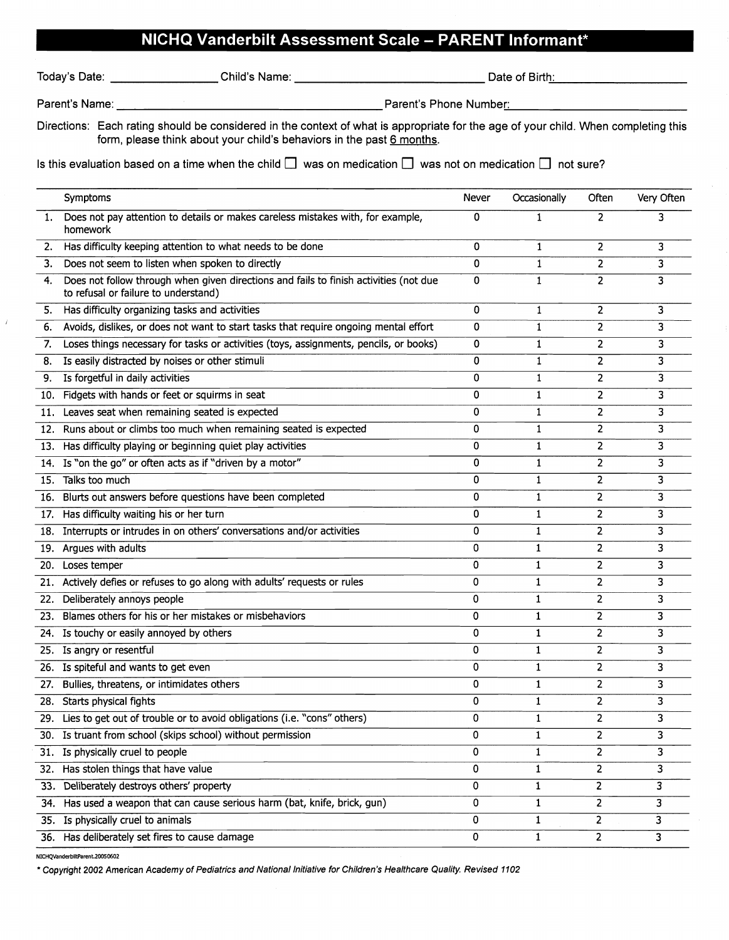## **NICHQ Vanderbilt Assessment Scale - PARENT Informant\***

|  | Today's Date |
|--|--------------|

 $\overline{t}$ 

 $\mathsf{\ddot{\circ}}$ day's Date:  $\_\_$ 

Parent's Name: Parent's Phone Numbe..... r: \_

Directions: Each rating should be considered in the context of what is appropriate for the age of your child. When completing this form, please think about your child's behaviors in the past 6 months.

Is this evaluation based on a time when the child  $\Box$  was on medication  $\Box$  was not on medication  $\Box$  not sure?

|     | Symptoms                                                                                                                      | Never       | Occasionally | Often          | Very Often |
|-----|-------------------------------------------------------------------------------------------------------------------------------|-------------|--------------|----------------|------------|
| 1.  | Does not pay attention to details or makes careless mistakes with, for example,<br>homework                                   | 0           | 1            | $\overline{2}$ |            |
| 2.  | Has difficulty keeping attention to what needs to be done                                                                     | 0           | 1            | 2              | 3          |
| 3.  | Does not seem to listen when spoken to directly                                                                               | 0           | $\mathbf{1}$ | $\overline{2}$ | 3          |
| 4.  | Does not follow through when given directions and fails to finish activities (not due<br>to refusal or failure to understand) | 0           | $\mathbf{1}$ | $\overline{2}$ | 3          |
| 5.  | Has difficulty organizing tasks and activities                                                                                | 0           | $\mathbf{1}$ | $\overline{2}$ | 3          |
| 6.  | Avoids, dislikes, or does not want to start tasks that require ongoing mental effort                                          | 0           | 1            | $\overline{2}$ | 3          |
| 7.  | Loses things necessary for tasks or activities (toys, assignments, pencils, or books)                                         | 0           | 1            | $\overline{2}$ | 3          |
| 8.  | Is easily distracted by noises or other stimuli                                                                               | 0           | 1            | 2              | 3          |
| 9.  | Is forgetful in daily activities                                                                                              | 0           | 1            | $\overline{2}$ | 3          |
|     | 10. Fidgets with hands or feet or squirms in seat                                                                             | 0           | $\mathbf{1}$ | $\overline{2}$ | 3          |
|     | 11. Leaves seat when remaining seated is expected                                                                             | 0           | 1            | 2              | 3          |
| 12. | Runs about or climbs too much when remaining seated is expected                                                               | 0           | $\mathbf{1}$ | $\overline{2}$ | 3          |
| 13. | Has difficulty playing or beginning quiet play activities                                                                     | 0           | 1            | $\overline{2}$ | 3          |
| 14. | Is "on the go" or often acts as if "driven by a motor"                                                                        | 0           | $\mathbf{1}$ | $\overline{2}$ | 3          |
|     | 15. Talks too much                                                                                                            | 0           | 1            | 2              | 3          |
|     | 16. Blurts out answers before questions have been completed                                                                   | 0           | 1            | 2              | 3          |
|     | 17. Has difficulty waiting his or her turn                                                                                    | 0           | 1            | 2              | 3          |
| 18. | Interrupts or intrudes in on others' conversations and/or activities                                                          | 0           | 1            | 2              | 3          |
|     | 19. Argues with adults                                                                                                        | 0           | $\mathbf{1}$ | $\overline{2}$ | 3          |
|     | 20. Loses temper                                                                                                              | 0           | 1            | $\overline{2}$ | 3          |
|     | 21. Actively defies or refuses to go along with adults' requests or rules                                                     | $\mathbf 0$ | $\mathbf{1}$ | $\overline{2}$ | 3          |
| 22. | Deliberately annoys people                                                                                                    | $\mathbf 0$ | $\mathbf{1}$ | 2              | 3          |
| 23. | Blames others for his or her mistakes or misbehaviors                                                                         | 0           | 1            | 2              | 3          |
|     | 24. Is touchy or easily annoyed by others                                                                                     | 0           | $\mathbf{1}$ | $\overline{2}$ | 3          |
|     | 25. Is angry or resentful                                                                                                     | 0           | $\mathbf{1}$ | $\overline{2}$ | 3          |
|     | 26. Is spiteful and wants to get even                                                                                         | 0           | 1            | 2              | 3          |
| 27. | Bullies, threatens, or intimidates others                                                                                     | 0           | $\mathbf{1}$ | 2              | 3          |
|     | 28. Starts physical fights                                                                                                    | 0           | 1            | 2              | 3          |
| 29. | Lies to get out of trouble or to avoid obligations (i.e. "cons" others)                                                       | 0           | 1            | 2              | 3          |
|     | 30. Is truant from school (skips school) without permission                                                                   | 0           | 1            | 2              | 3          |
|     | 31. Is physically cruel to people                                                                                             | 0           | 1            | 2              | 3          |
|     | 32. Has stolen things that have value                                                                                         | 0           | 1            | $\overline{2}$ | 3          |
|     | 33. Deliberately destroys others' property                                                                                    | 0           | 1            | $\overline{c}$ | 3          |
|     | 34. Has used a weapon that can cause serious harm (bat, knife, brick, gun)                                                    | 0           | 1            | 2              | 3          |
|     | 35. Is physically cruel to animals                                                                                            | 0           | 1            | 2              | 3          |
|     | 36. Has deliberately set fires to cause damage                                                                                | 0           | 1            | 2              | 3          |

NICHQVanderblltParent.200S0602

\* Copyright 2002 American Academy of Pediatrics and Nationsllnitiative for Children's Healthcare Quality. Revised 1102